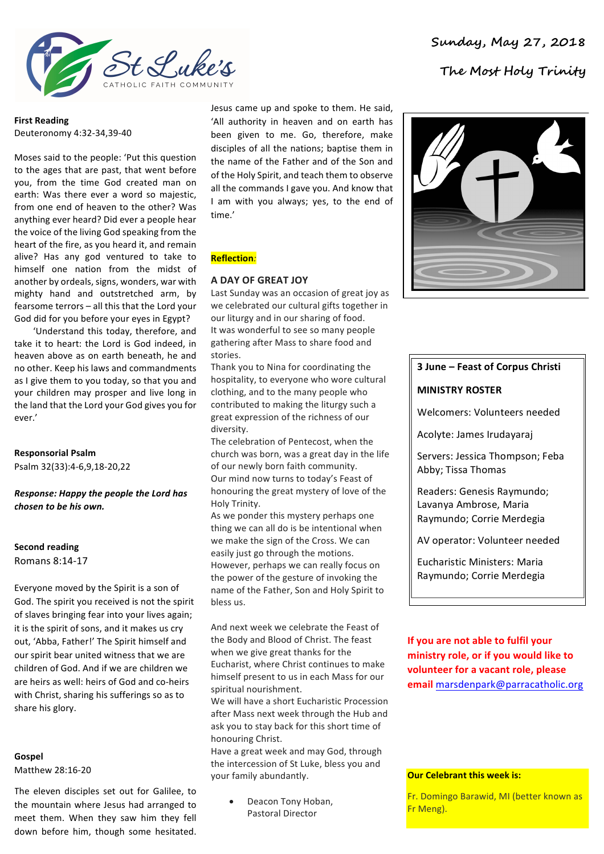

**First Reading** Deuteronomy 4:32-34,39-40

Moses said to the people: 'Put this question to the ages that are past, that went before you, from the time God created man on earth: Was there ever a word so majestic, from one end of heaven to the other? Was anything ever heard? Did ever a people hear the voice of the living God speaking from the heart of the fire, as you heard it, and remain alive? Has any god ventured to take to himself one nation from the midst of another by ordeals, signs, wonders, war with mighty hand and outstretched arm, by fearsome terrors – all this that the Lord your God did for you before your eves in Egypt?

'Understand this today, therefore, and take it to heart: the Lord is God indeed, in heaven above as on earth beneath, he and no other. Keep his laws and commandments as I give them to you today, so that you and your children may prosper and live long in the land that the Lord your God gives you for ever.'

### **Responsorial Psalm**

Psalm 32(33):4-6,9,18-20,22

*Response: Happy the people the Lord has chosen to be his own.*

### **Second reading**

Romans 8:14-17

Everyone moved by the Spirit is a son of God. The spirit you received is not the spirit of slaves bringing fear into your lives again; it is the spirit of sons, and it makes us cry out, 'Abba, Father!' The Spirit himself and our spirit bear united witness that we are children of God. And if we are children we are heirs as well: heirs of God and co-heirs with Christ, sharing his sufferings so as to share his glory.

### **Gospel**

Matthew 28:16-20

The eleven disciples set out for Galilee, to the mountain where Jesus had arranged to meet them. When they saw him they fell down before him, though some hesitated.

Jesus came up and spoke to them. He said, 'All authority in heaven and on earth has been given to me. Go, therefore, make disciples of all the nations: baptise them in the name of the Father and of the Son and of the Holy Spirit, and teach them to observe all the commands I gave you. And know that I am with you always; yes, to the end of time.'

### **Reflection***:*

### **A DAY OF GREAT JOY**

Last Sunday was an occasion of great joy as we celebrated our cultural gifts together in our liturgy and in our sharing of food. It was wonderful to see so many people gathering after Mass to share food and stories.

Thank you to Nina for coordinating the hospitality, to everyone who wore cultural clothing, and to the many people who contributed to making the liturgy such a great expression of the richness of our diversity.

The celebration of Pentecost, when the church was born, was a great day in the life of our newly born faith community. Our mind now turns to today's Feast of honouring the great mystery of love of the Holy Trinity.

As we ponder this mystery perhaps one thing we can all do is be intentional when we make the sign of the Cross. We can easily just go through the motions. However, perhaps we can really focus on the power of the gesture of invoking the name of the Father, Son and Holy Spirit to bless us.

And next week we celebrate the Feast of the Body and Blood of Christ. The feast when we give great thanks for the Eucharist, where Christ continues to make himself present to us in each Mass for our spiritual nourishment.

We will have a short Eucharistic Procession after Mass next week through the Hub and ask you to stay back for this short time of honouring Christ.

Have a great week and may God, through the intercession of St Luke, bless you and your family abundantly.

• Deacon Tony Hoban, Pastoral Director



### **3 June – Feast of Corpus Christi**

### **MINISTRY ROSTER**

Welcomers: Volunteers needed

Acolyte: James Irudayaraj

Servers: Jessica Thompson; Feba Abby: Tissa Thomas

Readers: Genesis Raymundo; Lavanya Ambrose, Maria Raymundo; Corrie Merdegia

AV operator: Volunteer needed

Eucharistic Ministers: Maria Raymundo; Corrie Merdegia

**If you are not able to fulfil your ministry role, or if you would like to volunteer for a vacant role, please email** marsdenpark@parracatholic.org

### **Our Celebrant this week is:**

Fr. Domingo Barawid, MI (better known as Fr Meng).